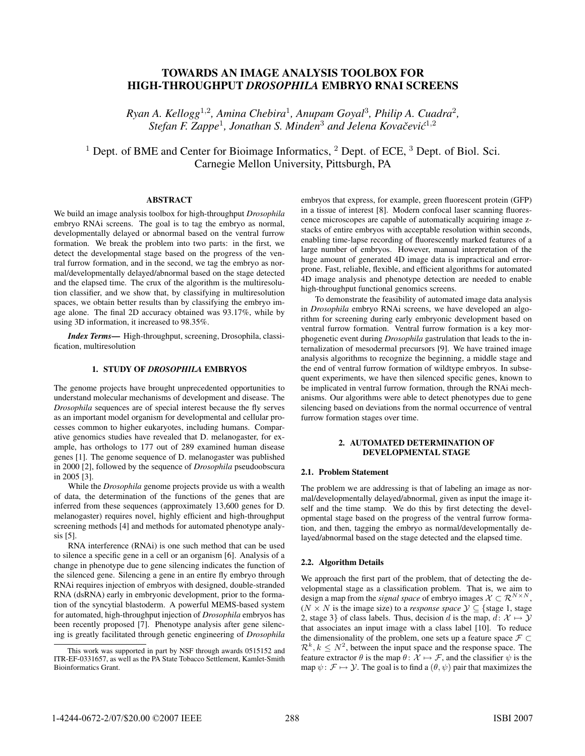# TOWARDS AN IMAGE ANALYSIS TOOLBOX FOR HIGH-THROUGHPUT *DROSOPHILA* EMBRYO RNAI SCREENS

*Ryan A. Kellogg*<sup>1</sup>,<sup>2</sup>*, Amina Chebira*<sup>1</sup>*, Anupam Goyal*<sup>3</sup>*, Philip A. Cuadra*<sup>2</sup>*, Stefan F. Zappe<sup>1</sup>, Jonathan S. Minden<sup>3</sup> and Jelena Kovačević<sup>1,2</sup>* 

 $1$  Dept. of BME and Center for Bioimage Informatics,  $2$  Dept. of ECE,  $3$  Dept. of Biol. Sci. Carnegie Mellon University, Pittsburgh, PA

# ABSTRACT

We build an image analysis toolbox for high-throughput *Drosophila* embryo RNAi screens. The goal is to tag the embryo as normal, developmentally delayed or abnormal based on the ventral furrow formation. We break the problem into two parts: in the first, we detect the developmental stage based on the progress of the ventral furrow formation, and in the second, we tag the embryo as normal/developmentally delayed/abnormal based on the stage detected and the elapsed time. The crux of the algorithm is the multiresolution classifier, and we show that, by classifying in multiresolution spaces, we obtain better results than by classifying the embryo image alone. The final 2D accuracy obtained was 93.17%, while by using 3D information, it increased to 98.35%.

*Index Terms*— High-throughput, screening, Drosophila, classification, multiresolution

## 1. STUDY OF *DROSOPHILA* EMBRYOS

The genome projects have brought unprecedented opportunities to understand molecular mechanisms of development and disease. The *Drosophila* sequences are of special interest because the fly serves as an important model organism for developmental and cellular processes common to higher eukaryotes, including humans. Comparative genomics studies have revealed that D. melanogaster, for example, has orthologs to 177 out of 289 examined human disease genes [1]. The genome sequence of D. melanogaster was published in 2000 [2], followed by the sequence of *Drosophila* pseudoobscura in 2005 [3].

While the *Drosophila* genome projects provide us with a wealth of data, the determination of the functions of the genes that are inferred from these sequences (approximately 13,600 genes for D. melanogaster) requires novel, highly efficient and high-throughput screening methods [4] and methods for automated phenotype analysis [5].

RNA interference (RNAi) is one such method that can be used to silence a specific gene in a cell or an organism [6]. Analysis of a change in phenotype due to gene silencing indicates the function of the silenced gene. Silencing a gene in an entire fly embryo through RNAi requires injection of embryos with designed, double-stranded RNA (dsRNA) early in embryonic development, prior to the formation of the syncytial blastoderm. A powerful MEMS-based system for automated, high-throughput injection of *Drosophila* embryos has been recently proposed [7]. Phenotype analysis after gene silencing is greatly facilitated through genetic engineering of *Drosophila*

embryos that express, for example, green fluorescent protein (GFP) in a tissue of interest [8]. Modern confocal laser scanning fluorescence microscopes are capable of automatically acquiring image zstacks of entire embryos with acceptable resolution within seconds, enabling time-lapse recording of fluorescently marked features of a large number of embryos. However, manual interpretation of the huge amount of generated 4D image data is impractical and errorprone. Fast, reliable, flexible, and efficient algorithms for automated 4D image analysis and phenotype detection are needed to enable high-throughput functional genomics screens.

To demonstrate the feasibility of automated image data analysis in *Drosophila* embryo RNAi screens, we have developed an algorithm for screening during early embryonic development based on ventral furrow formation. Ventral furrow formation is a key morphogenetic event during *Drosophila* gastrulation that leads to the internalization of mesodermal precursors [9]. We have trained image analysis algorithms to recognize the beginning, a middle stage and the end of ventral furrow formation of wildtype embryos. In subsequent experiments, we have then silenced specific genes, known to be implicated in ventral furrow formation, through the RNAi mechanisms. Our algorithms were able to detect phenotypes due to gene silencing based on deviations from the normal occurrence of ventral furrow formation stages over time.

#### 2. AUTOMATED DETERMINATION OF DEVELOPMENTAL STAGE

#### 2.1. Problem Statement

The problem we are addressing is that of labeling an image as normal/developmentally delayed/abnormal, given as input the image itself and the time stamp. We do this by first detecting the developmental stage based on the progress of the ventral furrow formation, and then, tagging the embryo as normal/developmentally delayed/abnormal based on the stage detected and the elapsed time.

#### 2.2. Algorithm Details

We approach the first part of the problem, that of detecting the developmental stage as a classification problem. That is, we aim to design a map from the *signal space* of embryo images  $X \subset \mathbb{R}^{N \times N}$ , ( $N \times N$  is the image size) to a *response space*  $\mathcal{Y} \subseteq \{ \text{stage } 1, \text{ stage } 1 \}$ 2, stage 3} of class labels. Thus, decision d is the map,  $d: \mathcal{X} \mapsto \mathcal{Y}$ that associates an input image with a class label [10]. To reduce the dimensionality of the problem, one sets up a feature space  $\mathcal{F} \subset$  $\mathcal{R}^k, k \leq N^2$ , between the input space and the response space. The feature extractor  $\theta$  is the map  $\theta$ :  $\mathcal{X} \mapsto \mathcal{F}$ , and the classifier  $\psi$  is the map  $\psi \colon \mathcal{F} \mapsto \mathcal{Y}$ . The goal is to find a  $(\theta, \psi)$  pair that maximizes the

This work was supported in part by NSF through awards 0515152 and ITR-EF-0331657, as well as the PA State Tobacco Settlement, Kamlet-Smith Bioinformatics Grant.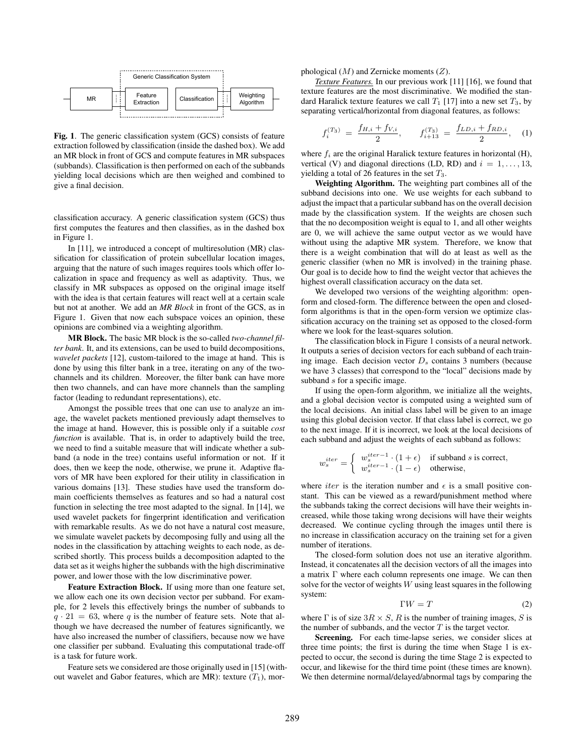

Fig. 1. The generic classification system (GCS) consists of feature extraction followed by classification (inside the dashed box). We add an MR block in front of GCS and compute features in MR subspaces (subbands). Classification is then performed on each of the subbands yielding local decisions which are then weighed and combined to give a final decision.

classification accuracy. A generic classification system (GCS) thus first computes the features and then classifies, as in the dashed box in Figure 1.

In [11], we introduced a concept of multiresolution (MR) classification for classification of protein subcellular location images, arguing that the nature of such images requires tools which offer localization in space and frequency as well as adaptivity. Thus, we classify in MR subspaces as opposed on the original image itself with the idea is that certain features will react well at a certain scale but not at another. We add an *MR Block* in front of the GCS, as in Figure 1. Given that now each subspace voices an opinion, these opinions are combined via a weighting algorithm.

MR Block. The basic MR block is the so-called *two-channel filter bank*. It, and its extensions, can be used to build decompositions, *wavelet packets* [12], custom-tailored to the image at hand. This is done by using this filter bank in a tree, iterating on any of the twochannels and its children. Moreover, the filter bank can have more then two channels, and can have more channels than the sampling factor (leading to redundant representations), etc.

Amongst the possible trees that one can use to analyze an image, the wavelet packets mentioned previously adapt themselves to the image at hand. However, this is possible only if a suitable *cost function* is available. That is, in order to adaptively build the tree, we need to find a suitable measure that will indicate whether a subband (a node in the tree) contains useful information or not. If it does, then we keep the node, otherwise, we prune it. Adaptive flavors of MR have been explored for their utility in classification in various domains [13]. These studies have used the transform domain coefficients themselves as features and so had a natural cost function in selecting the tree most adapted to the signal. In [14], we used wavelet packets for fingerprint identification and verification with remarkable results. As we do not have a natural cost measure, we simulate wavelet packets by decomposing fully and using all the nodes in the classification by attaching weights to each node, as described shortly. This process builds a decomposition adapted to the data set as it weighs higher the subbands with the high discriminative power, and lower those with the low discriminative power.

Feature Extraction Block. If using more than one feature set, we allow each one its own decision vector per subband. For example, for 2 levels this effectively brings the number of subbands to  $q \cdot 21 = 63$ , where q is the number of feature sets. Note that although we have decreased the number of features significantly, we have also increased the number of classifiers, because now we have one classifier per subband. Evaluating this computational trade-off is a task for future work.

Feature sets we considered are those originally used in [15] (without wavelet and Gabor features, which are MR): texture  $(T_1)$ , morphological  $(M)$  and Zernicke moments  $(Z)$ .

*Texture Features.* In our previous work [11] [16], we found that texture features are the most discriminative. We modified the standard Haralick texture features we call  $T_1$  [17] into a new set  $T_3$ , by separating vertical/horizontal from diagonal features, as follows:

$$
f_i^{(T_3)} = \frac{f_{H,i} + f_{V,i}}{2}, \qquad f_{i+13}^{(T_3)} = \frac{f_{LD,i} + f_{RD,i}}{2}, \quad (1)
$$

where  $f_i$  are the original Haralick texture features in horizontal (H), vertical (V) and diagonal directions (LD, RD) and  $i = 1, \ldots, 13$ , yielding a total of 26 features in the set  $T_3$ .

Weighting Algorithm. The weighting part combines all of the subband decisions into one. We use weights for each subband to adjust the impact that a particular subband has on the overall decision made by the classification system. If the weights are chosen such that the no decomposition weight is equal to 1, and all other weights are 0, we will achieve the same output vector as we would have without using the adaptive MR system. Therefore, we know that there is a weight combination that will do at least as well as the generic classifier (when no MR is involved) in the training phase. Our goal is to decide how to find the weight vector that achieves the highest overall classification accuracy on the data set.

We developed two versions of the weighting algorithm: openform and closed-form. The difference between the open and closedform algorithms is that in the open-form version we optimize classification accuracy on the training set as opposed to the closed-form where we look for the least-squares solution.

The classification block in Figure 1 consists of a neural network. It outputs a series of decision vectors for each subband of each training image. Each decision vector  $D_s$  contains 3 numbers (because we have 3 classes) that correspond to the "local" decisions made by subband s for a specific image.

If using the open-form algorithm, we initialize all the weights, and a global decision vector is computed using a weighted sum of the local decisions. An initial class label will be given to an image using this global decision vector. If that class label is correct, we go to the next image. If it is incorrect, we look at the local decisions of each subband and adjust the weights of each subband as follows:

$$
w_s^{iter} = \begin{cases} w_s^{iter-1} \cdot (1+\epsilon) & \text{if subband } s \text{ is correct,} \\ w_s^{iter-1} \cdot (1-\epsilon) & \text{otherwise,} \end{cases}
$$

where *iter* is the iteration number and  $\epsilon$  is a small positive constant. This can be viewed as a reward/punishment method where the subbands taking the correct decisions will have their weights increased, while those taking wrong decisions will have their weights decreased. We continue cycling through the images until there is no increase in classification accuracy on the training set for a given number of iterations.

The closed-form solution does not use an iterative algorithm. Instead, it concatenates all the decision vectors of all the images into a matrix Γ where each column represents one image. We can then solve for the vector of weights  $W$  using least squares in the following system:

$$
\Gamma W = T \tag{2}
$$

where  $\Gamma$  is of size  $3R \times S$ , R is the number of training images, S is the number of subbands, and the vector  $T$  is the target vector.

Screening. For each time-lapse series, we consider slices at three time points; the first is during the time when Stage 1 is expected to occur, the second is during the time Stage 2 is expected to occur, and likewise for the third time point (these times are known). We then determine normal/delayed/abnormal tags by comparing the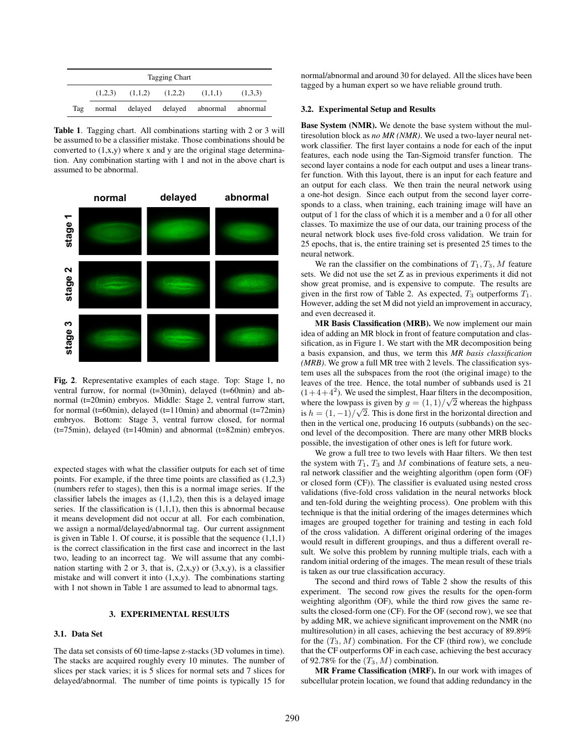| <b>Tagging Chart</b> |  |                                         |  |                                          |         |  |  |
|----------------------|--|-----------------------------------------|--|------------------------------------------|---------|--|--|
|                      |  | $(1,2,3)$ $(1,1,2)$ $(1,2,2)$ $(1,1,1)$ |  |                                          | (1,3,3) |  |  |
| Tag                  |  |                                         |  | normal delayed delayed abnormal abnormal |         |  |  |

Table 1. Tagging chart. All combinations starting with 2 or 3 will be assumed to be a classifier mistake. Those combinations should be converted to  $(1, x, y)$  where x and y are the original stage determination. Any combination starting with 1 and not in the above chart is assumed to be abnormal.



Fig. 2. Representative examples of each stage. Top: Stage 1, no ventral furrow, for normal (t=30min), delayed (t=60min) and abnormal (t=20min) embryos. Middle: Stage 2, ventral furrow start, for normal (t=60min), delayed (t=110min) and abnormal (t=72min) embryos. Bottom: Stage 3, ventral furrow closed, for normal (t=75min), delayed (t=140min) and abnormal (t=82min) embryos.

expected stages with what the classifier outputs for each set of time points. For example, if the three time points are classified as (1,2,3) (numbers refer to stages), then this is a normal image series. If the classifier labels the images as  $(1,1,2)$ , then this is a delayed image series. If the classification is  $(1,1,1)$ , then this is abnormal because it means development did not occur at all. For each combination, we assign a normal/delayed/abnormal tag. Our current assignment is given in Table 1. Of course, it is possible that the sequence  $(1,1,1)$ is the correct classification in the first case and incorrect in the last two, leading to an incorrect tag. We will assume that any combination starting with 2 or 3, that is,  $(2, x, y)$  or  $(3, x, y)$ , is a classifier mistake and will convert it into  $(1, x, y)$ . The combinations starting with 1 not shown in Table 1 are assumed to lead to abnormal tags.

# 3. EXPERIMENTAL RESULTS

#### 3.1. Data Set

The data set consists of 60 time-lapse z-stacks (3D volumes in time). The stacks are acquired roughly every 10 minutes. The number of slices per stack varies; it is 5 slices for normal sets and 7 slices for delayed/abnormal. The number of time points is typically 15 for

normal/abnormal and around 30 for delayed. All the slices have been tagged by a human expert so we have reliable ground truth.

## 3.2. Experimental Setup and Results

Base System (NMR). We denote the base system without the multiresolution block as *no MR (NMR)*. We used a two-layer neural network classifier. The first layer contains a node for each of the input features, each node using the Tan-Sigmoid transfer function. The second layer contains a node for each output and uses a linear transfer function. With this layout, there is an input for each feature and an output for each class. We then train the neural network using a one-hot design. Since each output from the second layer corresponds to a class, when training, each training image will have an output of 1 for the class of which it is a member and a 0 for all other classes. To maximize the use of our data, our training process of the neural network block uses five-fold cross validation. We train for 25 epochs, that is, the entire training set is presented 25 times to the neural network.

We ran the classifier on the combinations of  $T_1, T_3, M$  feature sets. We did not use the set Z as in previous experiments it did not show great promise, and is expensive to compute. The results are given in the first row of Table 2. As expected,  $T_3$  outperforms  $T_1$ . However, adding the set M did not yield an improvement in accuracy, and even decreased it.

MR Basis Classification (MRB). We now implement our main idea of adding an MR block in front of feature computation and classification, as in Figure 1. We start with the MR decomposition being a basis expansion, and thus, we term this *MR basis classification (MRB)*. We grow a full MR tree with 2 levels. The classification system uses all the subspaces from the root (the original image) to the leaves of the tree. Hence, the total number of subbands used is 21  $(1+4+4^2)$ . We used the simplest, Haar filters in the decomposition,  $(1+4+4)$ . We used the simplest, Haar filters in the decomposition,<br>where the lowpass is given by  $g = (1, 1)/\sqrt{2}$  whereas the highpass where the lowpass is given by  $g = (1, 1)/\sqrt{2}$  whereas the highpass<br>is  $h = (1, -1)/\sqrt{2}$ . This is done first in the horizontal direction and then in the vertical one, producing 16 outputs (subbands) on the second level of the decomposition. There are many other MRB blocks possible, the investigation of other ones is left for future work.

We grow a full tree to two levels with Haar filters. We then test the system with  $T_1$ ,  $T_3$  and M combinations of feature sets, a neural network classifier and the weighting algorithm (open form (OF) or closed form (CF)). The classifier is evaluated using nested cross validations (five-fold cross validation in the neural networks block and ten-fold during the weighting process). One problem with this technique is that the initial ordering of the images determines which images are grouped together for training and testing in each fold of the cross validation. A different original ordering of the images would result in different groupings, and thus a different overall result. We solve this problem by running multiple trials, each with a random initial ordering of the images. The mean result of these trials is taken as our true classification accuracy.

The second and third rows of Table 2 show the results of this experiment. The second row gives the results for the open-form weighting algorithm (OF), while the third row gives the same results the closed-form one (CF). For the OF (second row), we see that by adding MR, we achieve significant improvement on the NMR (no multiresolution) in all cases, achieving the best accuracy of 89.89% for the  $(T_3, M)$  combination. For the CF (third row), we conclude that the CF outperforms OF in each case, achieving the best accuracy of 92.78% for the  $(T_3, M)$  combination.

MR Frame Classification (MRF). In our work with images of subcellular protein location, we found that adding redundancy in the